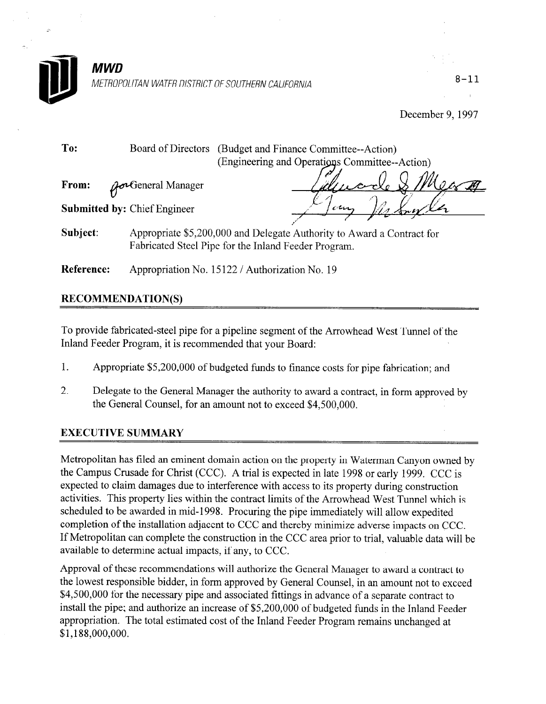

METROPOLITAN WATER DISTRICT OF SOUTHERN CALIFORNIA  $8-11$ 

December 9, 1997

**To:** Board of Directors (Budget and Finance Committee--Action From:  $\bm{U}$ eneral Manager Submitted by: Chief Engineer (Engineering and Operations Committee--Action)

Subject: Appropriate \$5,200,000 and Delegate Authority to Award a Contract for Fabricated Steel Pipe for the Inland Feeder Program.

Reference: Appropriation No. 15122 / Authorization No. 19

## RECOMMENDATION(S)

To provide fabricated-steel pipe for a pipeline segment of the Arrowhead West Tunnel of the Inland Feeder Program, it is recommended that your Board:

- 1. Appropriate \$5,200,000 of budgeted funds to finance costs for pipe fabrication; and
- 2. Delegate to the General Manager the authority to award a contract, in form approved by the General Counsel, for an amount not to exceed \$4,500,000.

# **EXECUTIVE SUMMARY**

Metropolitan has filed an eminent domain action on the property in Waterman Canyon owned by the Campus Crusade for Christ (CCC). A trial is expected in late 1998 or early 1999. CCC is expected to claim damages due to interference with access to its property during construction activities. This property lies within the contract limits of the Arrowhead West Tunnel which is scheduled to be awarded in mid- 1998. Procuring the pipe immediately will allow expedited completion of the installation adjacent to CCC and thereby minimize adverse impacts on CCC. If Metropolitan can complete the construction in the CCC area prior to trial, valuable data will be available to determine actual impacts, if any, to CCC.

Approval of these recommendations will authorize the General Manager to award a contract to the lowest responsible bidder, in form approved by General Counsel, in an amount not to exceed \$4,500,000 for the necessary pipe and associated fittings in advance of a separate contract to install the pipe; and authorize an increase of \$5,200,000 of budgeted funds in the Inland Feeder appropriation. The total estimated cost of the Inland Feeder Program remains unchanged at \$1,188,000,000.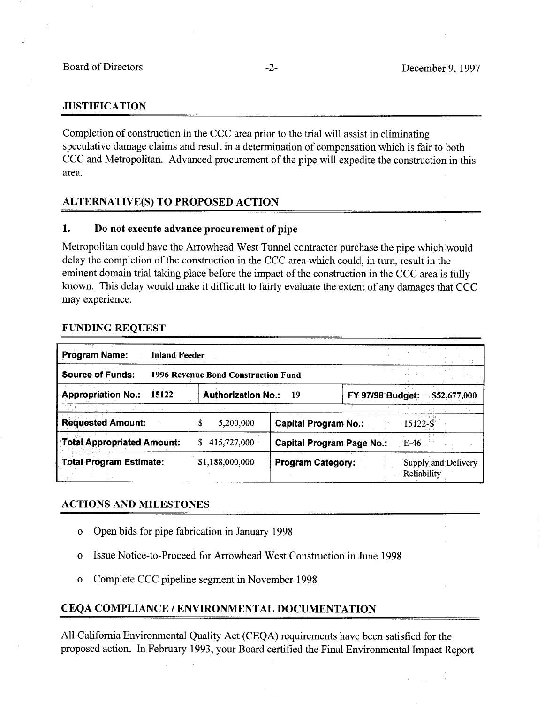### **JUSTIFICATION**

Completion of construction in the CCC area prior to the trial will assist in eliminating speculative damage claims and result in a determination of compensation which is fair to both CCC and Metropolitan. Advanced procurement of the pipe will expedite the construction in this area.

### ALTERNATIVE(S) TO PROPOSED ACTION

### 1. Do not execute advance procurement of pipe

Metropolitan could have the Arrowhead West Tunnel contractor purchase the pipe which would delay the completion of the construction in the CCC area which could, in turn, result in the eminent domain trial taking place before the impact of the construction in the CCC area is fully known. This delay would make it difficult to fairly evaluate the extent of any damages that CCC may experience.

#### FUNDING REQUEST

| <b>Program Name:</b><br><b>Inland Feeder</b> |                                     |                             |                                            |
|----------------------------------------------|-------------------------------------|-----------------------------|--------------------------------------------|
| <b>Source of Funds:</b>                      | 1996 Revenue Bond Construction Fund |                             |                                            |
| <b>Appropriation No.:</b><br>15122           | <b>Authorization No.:</b>           | 19                          | <b>FY 97/98 Budget:</b><br>\$52,677,000    |
|                                              |                                     |                             |                                            |
| <b>Requested Amount:</b>                     | 5,200,000<br>S                      | <b>Capital Program No.:</b> | 15122-S                                    |
| Total Appropriated Amount:                   | 415,727,000<br>S.                   |                             | <b>Capital Program Page No.:</b><br>$E-46$ |
| <b>Total Program Estimate:</b>               | \$1,188,000,000                     | <b>Program Category:</b>    | Supply and Delivery<br>Reliability         |

### ACTIONS AND MILESTONES

- o Open bids for pipe fabrication in January 1998
- o Issue Notice-to-Proceed for Arrowhead West Construction in June 1998
- o Complete CCC pipeline segment in November 1998

### CEQA COMPLIANCE / ENVIRONMENTAL DOCUMENTATION

All California Environmental Quality Act (CEQA) requirements have been satisfied for the proposed action. In February 1993, your Board certified the Final Environmental Impact Report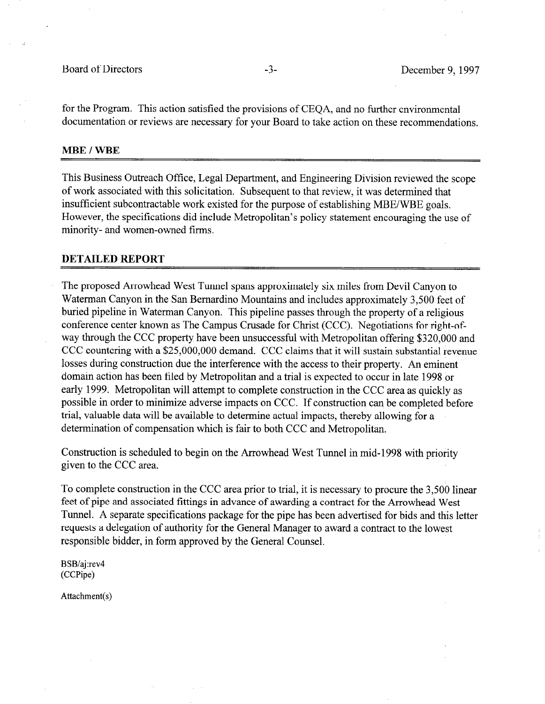for the Program. This action satisfied the provisions of CEQA, and no further environmental documentation or reviews are necessary for your Board to take action on these recommendations.

#### MBE / WBE

This Business Outreach Office, Legal Department, and Engineering Division reviewed the scope of work associated with this solicitation. Subsequent to that review, it was determined that insufficient subcontractable work existed for the purpose of establishing MBE/WBE goals. However, the specifications did include Metropolitan's policy statement encouraging the use of minority- and women-owned firms.

#### DETAILED REPORT

The proposed Arrowhead West Tunnel spans approximately six miles from Devil Canyon to Waterman Canyon in the San Bernardino Mountains and includes approximately 3,500 feet of buried pipeline in Waterman Canyon. This pipeline passes through the property of a religious conference center known as The Campus Crusade for Christ (CCC). Negotiations for right-ofway through the CCC property have been unsuccessful with Metropolitan offering \$320,000 and CCC countering with a \$25,000,000 demand. CCC claims that it will sustain substantial revenue losses during construction due the interference with the access to their property. An eminent domain action has been filed by Metropolitan and a trial is expected to occur in late 1998 or early 1999. Metropolitan will attempt to complete construction in the CCC area as quickly as possible in order to minimize adverse impacts on CCC. If construction can be completed before trial, valuable data will be available to determine actual impacts, thereby allowing for a determination of compensation which is fair to both CCC and Metropolitan.

Construction is scheduled to begin on the Arrowhead West Tunnel in mid-1998 with priority given to the CCC area.

To complete construction in the CCC area prior to trial, it is necessary to procure the 3,500 linear feet of pipe and associated fittings in advance of awarding a contract for the Arrowhead West Tunnel. A separate specifications package for the pipe has been advertised for bids and this letter requests a delegation of authority for the General Manager to award a contract to the lowest responsible bidder, in form approved by the General Counsel.

BSB/aj:rev4 (CCPipe)

Attachment(s)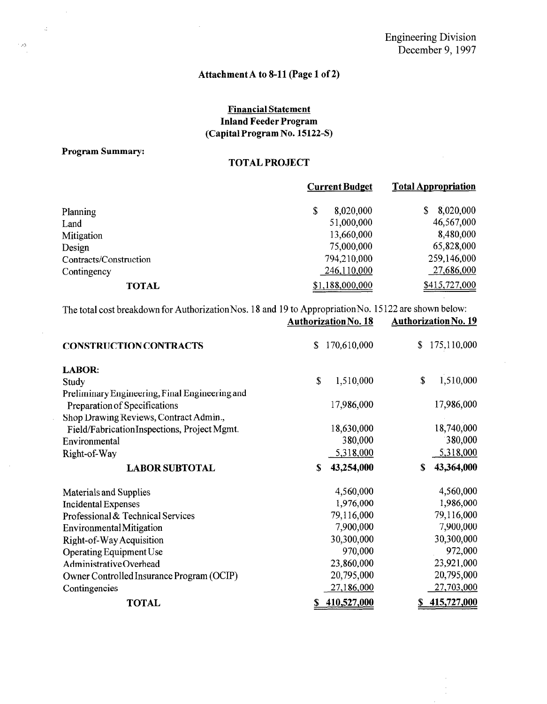# Attachment A to S-11 (Page 1 of 2)

### Financial Statement Inland Feeder Program (Capital Program No. 15122-S)

#### Program Summary:

 $\mathcal{L}$ 

 $\hat{\boldsymbol{\beta}}$ 

 $\sim$ 

 $\mathcal{L}^{\mathcal{L}}$ 

### TOTAL PROJECT

|                        | <b>Current Budget</b> | <b>Total Appropriation</b> |  |
|------------------------|-----------------------|----------------------------|--|
| Planning               | 8,020,000<br>\$       | 8,020,000<br>S             |  |
| Land                   | 51,000,000            | 46,567,000                 |  |
| Mitigation             | 13,660,000            | 8,480,000                  |  |
| Design                 | 75,000,000            | 65,828,000                 |  |
| Contracts/Construction | 794,210,000           | 259,146,000                |  |
| Contingency            | 246,110,000           | 27,686,000                 |  |
| <b>TOTAL</b>           | \$1,188,000,000       | \$415,727,000              |  |

 $T_{\text{total}}$  cost breakdown for Authorization Nos. 18 and 10 to Appropriation No. 15122 are shown below:  $A$ uthorization No. 18  $A$ uthorization No. 18

|                                                | Authorization No. 18 | Authorization iyo. 19 |
|------------------------------------------------|----------------------|-----------------------|
| <b>CONSTRUCTION CONTRACTS</b>                  | 170,610,000<br>\$    | 175,110,000<br>\$     |
| <b>LABOR:</b>                                  |                      |                       |
| Study                                          | \$<br>1,510,000      | 1,510,000<br>\$       |
| Preliminary Engineering, Final Engineering and |                      |                       |
| Preparation of Specifications                  | 17,986,000           | 17,986,000            |
| Shop Drawing Reviews, Contract Admin.,         |                      |                       |
| Field/FabricationInspections, Project Mgmt.    | 18,630,000           | 18,740,000            |
| Environmental                                  | 380,000              | 380,000               |
| Right-of-Way                                   | 5,318,000            | 5,318,000             |
| <b>LABOR SUBTOTAL</b>                          | 43,254,000<br>S      | 43,364,000<br>S       |
| Materials and Supplies                         | 4,560,000            | 4,560,000             |
| <b>Incidental Expenses</b>                     | 1,976,000            | 1,986,000             |
| Professional & Technical Services              | 79,116,000           | 79,116,000            |
| <b>Environmental Mitigation</b>                | 7,900,000            | 7,900,000             |
| Right-of-Way Acquisition                       | 30,300,000           | 30,300,000            |
| Operating Equipment Use                        | 970,000              | 972,000               |
| AdministrativeOverhead                         | 23,860,000           | 23,921,000            |
| Owner Controlled Insurance Program (OCIP)      | 20,795,000           | 20,795,000            |
| Contingencies                                  | 27,186,000           | 27,703,000            |
| <b>TOTAL</b>                                   | 410,527,000          | 415,727,000<br>\$     |